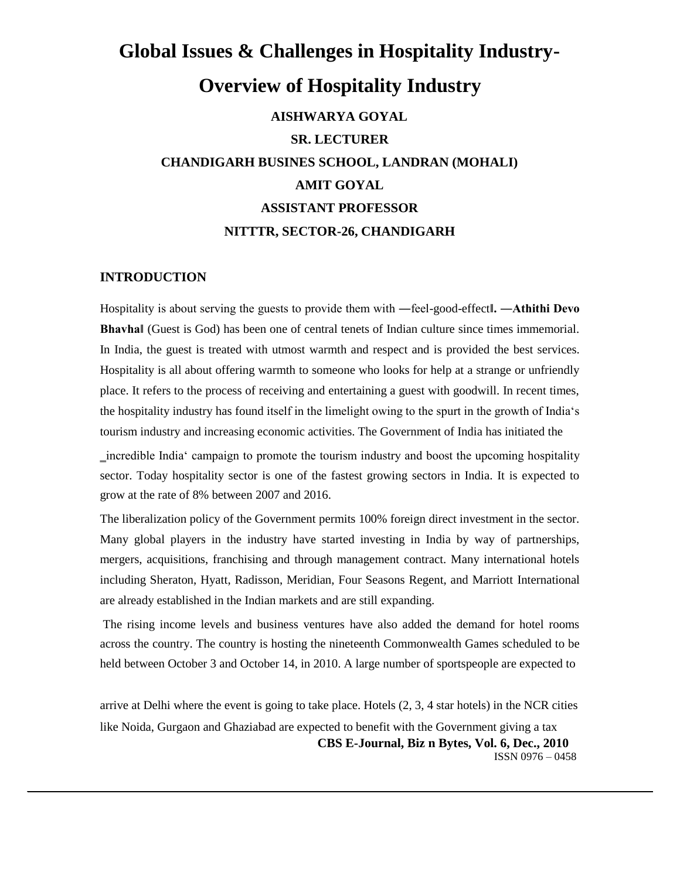# **Global Issues & Challenges in Hospitality Industry-Overview of Hospitality Industry AISHWARYA GOYAL SR. LECTURER CHANDIGARH BUSINES SCHOOL, LANDRAN (MOHALI) AMIT GOYAL ASSISTANT PROFESSOR NITTTR, SECTOR-26, CHANDIGARH**

## **INTRODUCTION**

Hospitality is about serving the guests to provide them with ―feel-good-effect**‖. ―Athithi Devo Bhavha‖** (Guest is God) has been one of central tenets of Indian culture since times immemorial. In India, the guest is treated with utmost warmth and respect and is provided the best services. Hospitality is all about offering warmth to someone who looks for help at a strange or unfriendly place. It refers to the process of receiving and entertaining a guest with goodwill. In recent times, the hospitality industry has found itself in the limelight owing to the spurt in the growth of India's tourism industry and increasing economic activities. The Government of India has initiated the

‗incredible India' campaign to promote the tourism industry and boost the upcoming hospitality sector. Today hospitality sector is one of the fastest growing sectors in India. It is expected to grow at the rate of 8% between 2007 and 2016.

The liberalization policy of the Government permits 100% foreign direct investment in the sector. Many global players in the industry have started investing in India by way of partnerships, mergers, acquisitions, franchising and through management contract. Many international hotels including Sheraton, Hyatt, Radisson, Meridian, Four Seasons Regent, and Marriott International are already established in the Indian markets and are still expanding.

The rising income levels and business ventures have also added the demand for hotel rooms across the country. The country is hosting the nineteenth Commonwealth Games scheduled to be held between October 3 and October 14, in 2010. A large number of sportspeople are expected to

arrive at Delhi where the event is going to take place. Hotels (2, 3, 4 star hotels) in the NCR cities like Noida, Gurgaon and Ghaziabad are expected to benefit with the Government giving a tax **CBS E-Journal, Biz n Bytes, Vol. 6, Dec., 2010** ISSN 0976 – 0458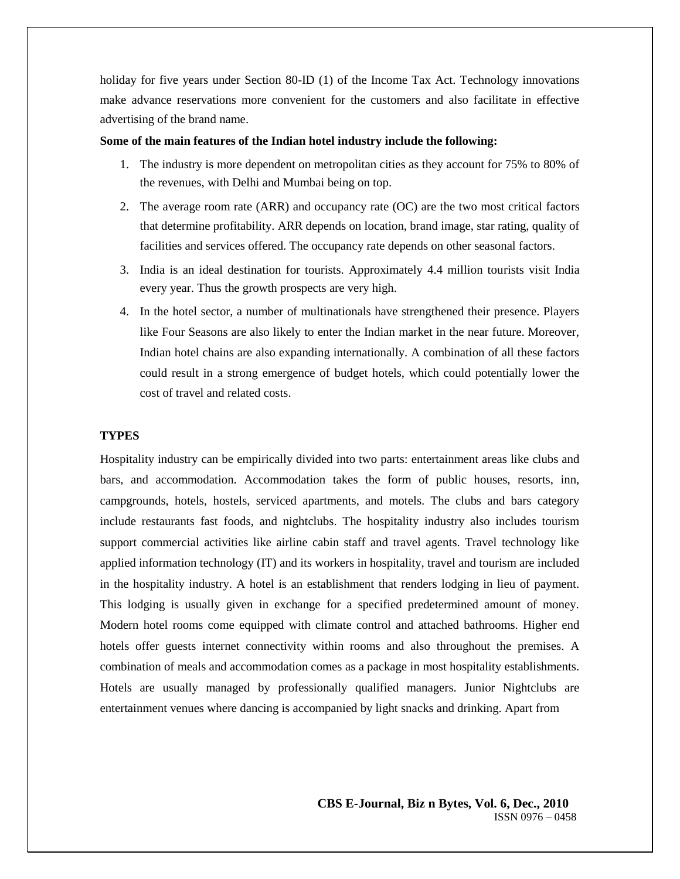holiday for five years under Section 80-ID (1) of the Income Tax Act. Technology innovations make advance reservations more convenient for the customers and also facilitate in effective advertising of the brand name.

#### **Some of the main features of the Indian hotel industry include the following:**

- 1. The industry is more dependent on metropolitan cities as they account for 75% to 80% of the revenues, with Delhi and Mumbai being on top.
- 2. The average room rate (ARR) and occupancy rate (OC) are the two most critical factors that determine profitability. ARR depends on location, brand image, star rating, quality of facilities and services offered. The occupancy rate depends on other seasonal factors.
- 3. India is an ideal destination for tourists. Approximately 4.4 million tourists visit India every year. Thus the growth prospects are very high.
- 4. In the hotel sector, a number of multinationals have strengthened their presence. Players like Four Seasons are also likely to enter the Indian market in the near future. Moreover, Indian hotel chains are also expanding internationally. A combination of all these factors could result in a strong emergence of budget hotels, which could potentially lower the cost of travel and related costs.

#### **TYPES**

Hospitality industry can be empirically divided into two parts: entertainment areas like clubs and bars, and accommodation. Accommodation takes the form of public houses, resorts, inn, campgrounds, hotels, hostels, serviced apartments, and motels. The clubs and bars category include restaurants fast foods, and nightclubs. The hospitality industry also includes tourism support commercial activities like airline cabin staff and travel agents. Travel technology like applied information technology (IT) and its workers in hospitality, travel and tourism are included in the hospitality industry. A hotel is an establishment that renders lodging in lieu of payment. This lodging is usually given in exchange for a specified predetermined amount of money. Modern hotel rooms come equipped with climate control and attached bathrooms. Higher end hotels offer guests internet connectivity within rooms and also throughout the premises. A combination of meals and accommodation comes as a package in most hospitality establishments. Hotels are usually managed by professionally qualified managers. Junior Nightclubs are entertainment venues where dancing is accompanied by light snacks and drinking. Apart from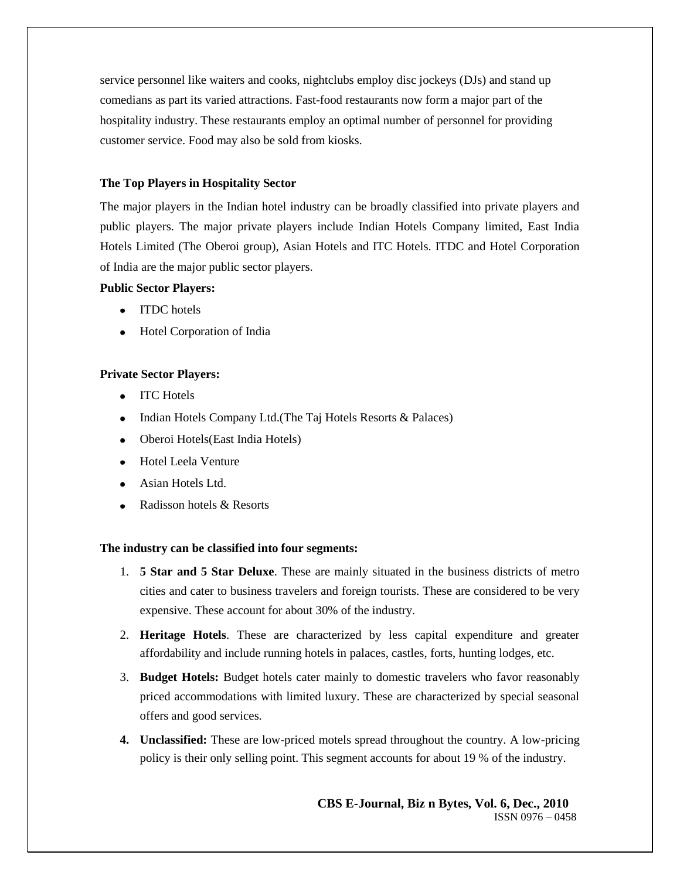service personnel like waiters and cooks, nightclubs employ disc jockeys (DJs) and stand up comedians as part its varied attractions. Fast-food restaurants now form a major part of the hospitality industry. These restaurants employ an optimal number of personnel for providing customer service. Food may also be sold from kiosks.

# **The Top Players in Hospitality Sector**

The major players in the Indian hotel industry can be broadly classified into private players and public players. The major private players include Indian Hotels Company limited, East India Hotels Limited (The Oberoi group), Asian Hotels and ITC Hotels. ITDC and Hotel Corporation of India are the major public sector players.

# **Public Sector Players:**

- ITDC hotels
- Hotel Corporation of India

# **Private Sector Players:**

- ITC Hotels
- Indian Hotels Company Ltd.(The Taj Hotels Resorts & Palaces)  $\bullet$
- Oberoi Hotels(East India Hotels)
- Hotel Leela Venture
- Asian Hotels Ltd.
- Radisson hotels & Resorts

## **The industry can be classified into four segments:**

- 1. **5 Star and 5 Star Deluxe**. These are mainly situated in the business districts of metro cities and cater to business travelers and foreign tourists. These are considered to be very expensive. These account for about 30% of the industry.
- 2. **Heritage Hotels**. These are characterized by less capital expenditure and greater affordability and include running hotels in palaces, castles, forts, hunting lodges, etc.
- 3. **Budget Hotels:** Budget hotels cater mainly to domestic travelers who favor reasonably priced accommodations with limited luxury. These are characterized by special seasonal offers and good services.
- **4. Unclassified:** These are low-priced motels spread throughout the country. A low-pricing policy is their only selling point. This segment accounts for about 19 % of the industry.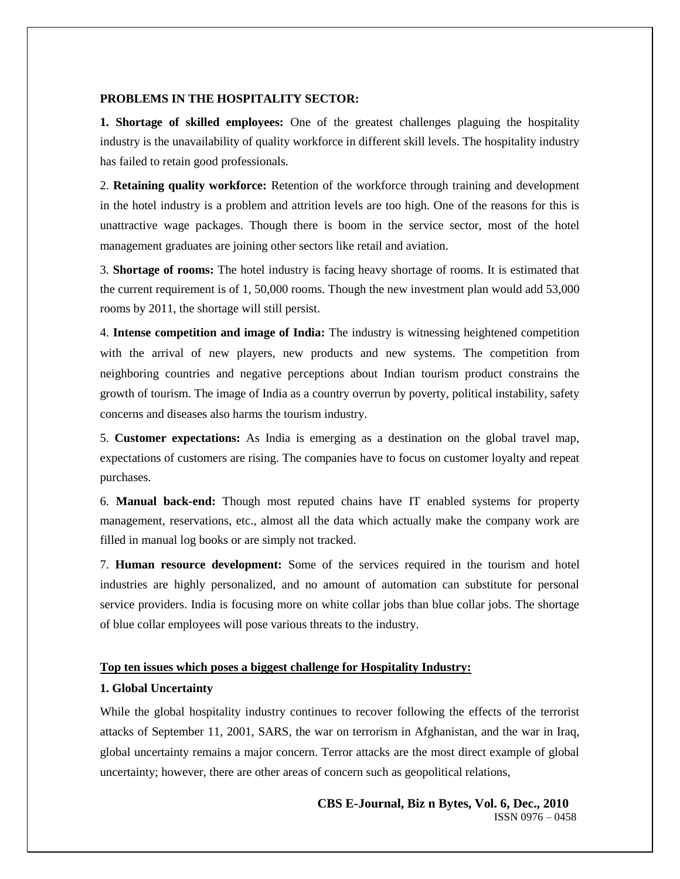#### **PROBLEMS IN THE HOSPITALITY SECTOR:**

**1. Shortage of skilled employees:** One of the greatest challenges plaguing the hospitality industry is the unavailability of quality workforce in different skill levels. The hospitality industry has failed to retain good professionals.

2. **Retaining quality workforce:** Retention of the workforce through training and development in the hotel industry is a problem and attrition levels are too high. One of the reasons for this is unattractive wage packages. Though there is boom in the service sector, most of the hotel management graduates are joining other sectors like retail and aviation.

3. **Shortage of rooms:** The hotel industry is facing heavy shortage of rooms. It is estimated that the current requirement is of 1, 50,000 rooms. Though the new investment plan would add 53,000 rooms by 2011, the shortage will still persist.

4. **Intense competition and image of India:** The industry is witnessing heightened competition with the arrival of new players, new products and new systems. The competition from neighboring countries and negative perceptions about Indian tourism product constrains the growth of tourism. The image of India as a country overrun by poverty, political instability, safety concerns and diseases also harms the tourism industry.

5. **Customer expectations:** As India is emerging as a destination on the global travel map, expectations of customers are rising. The companies have to focus on customer loyalty and repeat purchases.

6. **Manual back-end:** Though most reputed chains have IT enabled systems for property management, reservations, etc., almost all the data which actually make the company work are filled in manual log books or are simply not tracked.

7. **Human resource development:** Some of the services required in the tourism and hotel industries are highly personalized, and no amount of automation can substitute for personal service providers. India is focusing more on white collar jobs than blue collar jobs. The shortage of blue collar employees will pose various threats to the industry.

#### **Top ten issues which poses a biggest challenge for Hospitality Industry:**

#### **1. Global Uncertainty**

While the global hospitality industry continues to recover following the effects of the terrorist attacks of September 11, 2001, SARS, the war on terrorism in Afghanistan, and the war in Iraq, global uncertainty remains a major concern. Terror attacks are the most direct example of global uncertainty; however, there are other areas of concern such as geopolitical relations,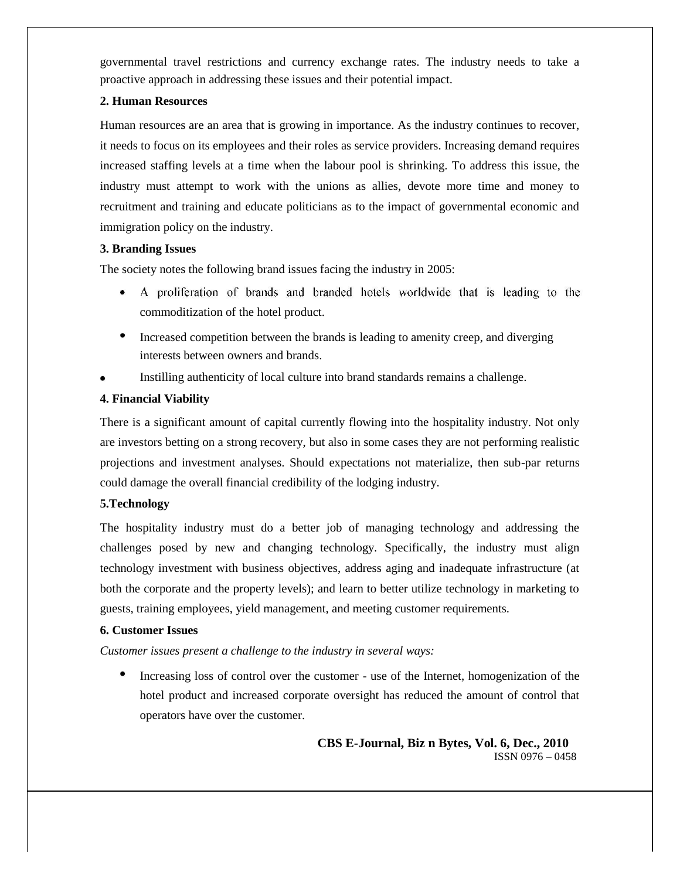governmental travel restrictions and currency exchange rates. The industry needs to take a proactive approach in addressing these issues and their potential impact.

# **2. Human Resources**

Human resources are an area that is growing in importance. As the industry continues to recover, it needs to focus on its employees and their roles as service providers. Increasing demand requires increased staffing levels at a time when the labour pool is shrinking. To address this issue, the industry must attempt to work with the unions as allies, devote more time and money to recruitment and training and educate politicians as to the impact of governmental economic and immigration policy on the industry.

## **3. Branding Issues**

The society notes the following brand issues facing the industry in 2005:

- A proliferation of brands and branded hotels worldwide that is leading to the commoditization of the hotel product.
- Increased competition between the brands is leading to amenity creep, and diverging interests between owners and brands.
- Instilling authenticity of local culture into brand standards remains a challenge.

# **4. Financial Viability**

There is a significant amount of capital currently flowing into the hospitality industry. Not only are investors betting on a strong recovery, but also in some cases they are not performing realistic projections and investment analyses. Should expectations not materialize, then sub-par returns could damage the overall financial credibility of the lodging industry.

# **5.Technology**

The hospitality industry must do a better job of managing technology and addressing the challenges posed by new and changing technology. Specifically, the industry must align technology investment with business objectives, address aging and inadequate infrastructure (at both the corporate and the property levels); and learn to better utilize technology in marketing to guests, training employees, yield management, and meeting customer requirements.

## **6. Customer Issues**

*Customer issues present a challenge to the industry in several ways:*

Increasing loss of control over the customer - use of the Internet, homogenization of the hotel product and increased corporate oversight has reduced the amount of control that operators have over the customer.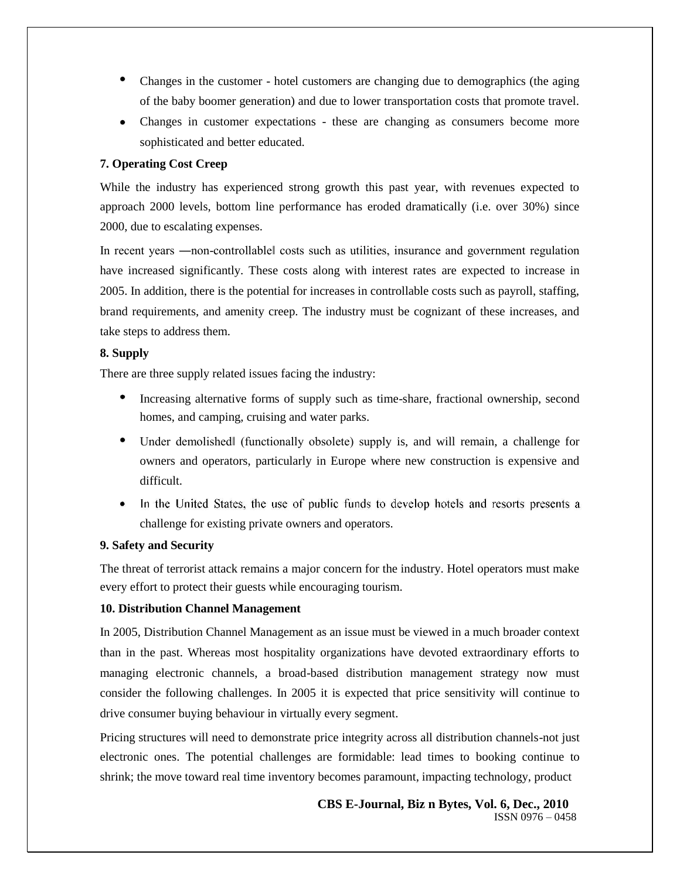- Changes in the customer hotel customers are changing due to demographics (the aging of the baby boomer generation) and due to lower transportation costs that promote travel.
- Changes in customer expectations these are changing as consumers become more sophisticated and better educated.

#### **7. Operating Cost Creep**

While the industry has experienced strong growth this past year, with revenues expected to approach 2000 levels, bottom line performance has eroded dramatically (i.e. over 30%) since 2000, due to escalating expenses.

In recent years —non-controllablel costs such as utilities, insurance and government regulation have increased significantly. These costs along with interest rates are expected to increase in 2005. In addition, there is the potential for increases in controllable costs such as payroll, staffing, brand requirements, and amenity creep. The industry must be cognizant of these increases, and take steps to address them.

#### **8. Supply**

There are three supply related issues facing the industry:

- Increasing alternative forms of supply such as time-share, fractional ownership, second homes, and camping, cruising and water parks.
- Under demolished‖ (functionally obsolete) supply is, and will remain, a challenge for owners and operators, particularly in Europe where new construction is expensive and difficult.
- In the United States, the use of public funds to develop hotels and resorts presents a  $\bullet$ challenge for existing private owners and operators.

#### **9. Safety and Security**

The threat of terrorist attack remains a major concern for the industry. Hotel operators must make every effort to protect their guests while encouraging tourism.

## **10. Distribution Channel Management**

In 2005, Distribution Channel Management as an issue must be viewed in a much broader context than in the past. Whereas most hospitality organizations have devoted extraordinary efforts to managing electronic channels, a broad-based distribution management strategy now must consider the following challenges. In 2005 it is expected that price sensitivity will continue to drive consumer buying behaviour in virtually every segment.

Pricing structures will need to demonstrate price integrity across all distribution channels-not just electronic ones. The potential challenges are formidable: lead times to booking continue to shrink; the move toward real time inventory becomes paramount, impacting technology, product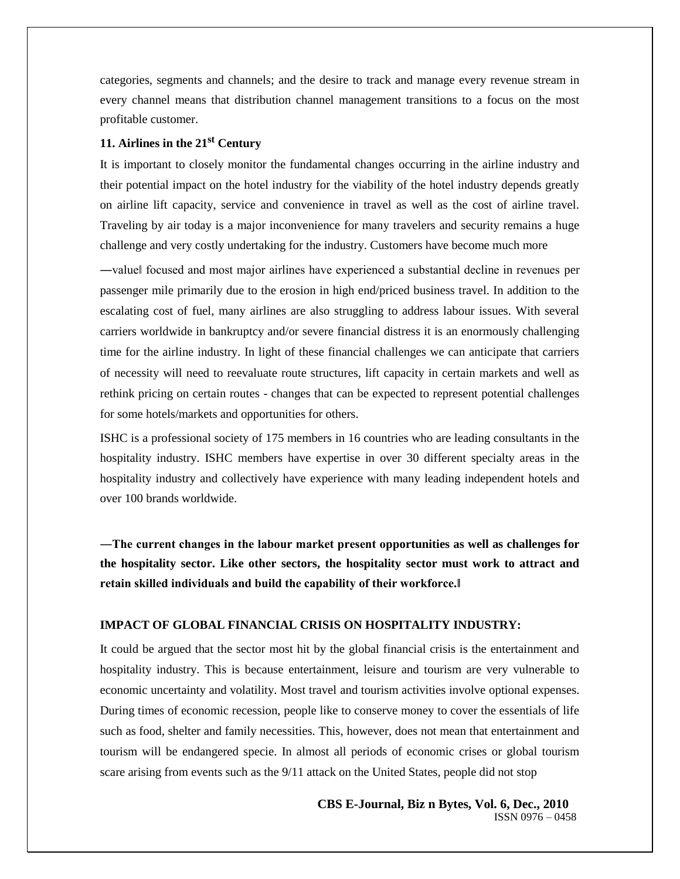categories, segments and channels; and the desire to track and manage every revenue stream in every channel means that distribution channel management transitions to a focus on the most profitable customer.

# **11. Airlines in the 21st Century**

It is important to closely monitor the fundamental changes occurring in the airline industry and their potential impact on the hotel industry for the viability of the hotel industry depends greatly on airline lift capacity, service and convenience in travel as well as the cost of airline travel. Traveling by air today is a major inconvenience for many travelers and security remains a huge challenge and very costly undertaking for the industry. Customers have become much more

―value‖ focused and most major airlines have experienced a substantial decline in revenues per passenger mile primarily due to the erosion in high end/priced business travel. In addition to the escalating cost of fuel, many airlines are also struggling to address labour issues. With several carriers worldwide in bankruptcy and/or severe financial distress it is an enormously challenging time for the airline industry. In light of these financial challenges we can anticipate that carriers of necessity will need to reevaluate route structures, lift capacity in certain markets and well as rethink pricing on certain routes - changes that can be expected to represent potential challenges for some hotels/markets and opportunities for others.

ISHC is a professional society of 175 members in 16 countries who are leading consultants in the hospitality industry. ISHC members have expertise in over 30 different specialty areas in the hospitality industry and collectively have experience with many leading independent hotels and over 100 brands worldwide.

**―The current changes in the labour market present opportunities as well as challenges for the hospitality sector. Like other sectors, the hospitality sector must work to attract and retain skilled individuals and build the capability of their workforce.‖**

## **IMPACT OF GLOBAL FINANCIAL CRISIS ON HOSPITALITY INDUSTRY:**

It could be argued that the sector most hit by the global financial crisis is the entertainment and hospitality industry. This is because entertainment, leisure and tourism are very vulnerable to economic uncertainty and volatility. Most travel and tourism activities involve optional expenses. During times of economic recession, people like to conserve money to cover the essentials of life such as food, shelter and family necessities. This, however, does not mean that entertainment and tourism will be endangered specie. In almost all periods of economic crises or global tourism scare arising from events such as the 9/11 attack on the United States, people did not stop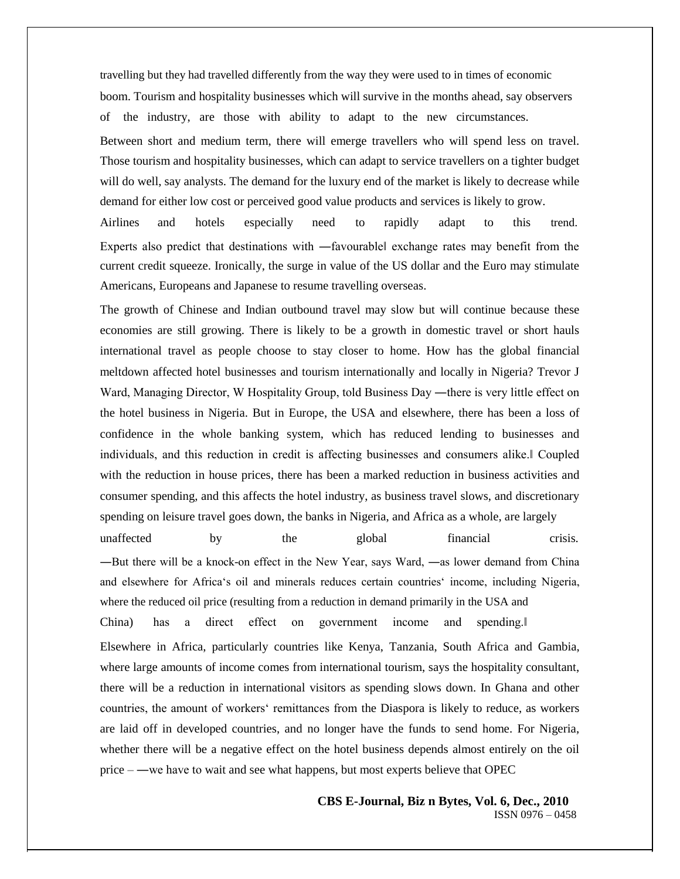travelling but they had travelled differently from the way they were used to in times of economic boom. Tourism and hospitality businesses which will survive in the months ahead, say observers of the industry, are those with ability to adapt to the new circumstances. Between short and medium term, there will emerge travellers who will spend less on travel. Those tourism and hospitality businesses, which can adapt to service travellers on a tighter budget will do well, say analysts. The demand for the luxury end of the market is likely to decrease while demand for either low cost or perceived good value products and services is likely to grow.

Airlines and hotels especially need to rapidly adapt to this trend. Experts also predict that destinations with ―favourable‖ exchange rates may benefit from the current credit squeeze. Ironically, the surge in value of the US dollar and the Euro may stimulate Americans, Europeans and Japanese to resume travelling overseas.

The growth of Chinese and Indian outbound travel may slow but will continue because these economies are still growing. There is likely to be a growth in domestic travel or short hauls international travel as people choose to stay closer to home. How has the global financial meltdown affected hotel businesses and tourism internationally and locally in Nigeria? Trevor J Ward, Managing Director, W Hospitality Group, told Business Day —there is very little effect on the hotel business in Nigeria. But in Europe, the USA and elsewhere, there has been a loss of confidence in the whole banking system, which has reduced lending to businesses and individuals, and this reduction in credit is affecting businesses and consumers alike.‖ Coupled with the reduction in house prices, there has been a marked reduction in business activities and consumer spending, and this affects the hotel industry, as business travel slows, and discretionary spending on leisure travel goes down, the banks in Nigeria, and Africa as a whole, are largely

unaffected by the global financial crisis. ―But there will be a knock-on effect in the New Year, says Ward, ―as lower demand from China and elsewhere for Africa's oil and minerals reduces certain countries' income, including Nigeria, where the reduced oil price (resulting from a reduction in demand primarily in the USA and China) has a direct effect on government income and spending.‖ Elsewhere in Africa, particularly countries like Kenya, Tanzania, South Africa and Gambia, where large amounts of income comes from international tourism, says the hospitality consultant, there will be a reduction in international visitors as spending slows down. In Ghana and other countries, the amount of workers' remittances from the Diaspora is likely to reduce, as workers are laid off in developed countries, and no longer have the funds to send home. For Nigeria, whether there will be a negative effect on the hotel business depends almost entirely on the oil price – ―we have to wait and see what happens, but most experts believe that OPEC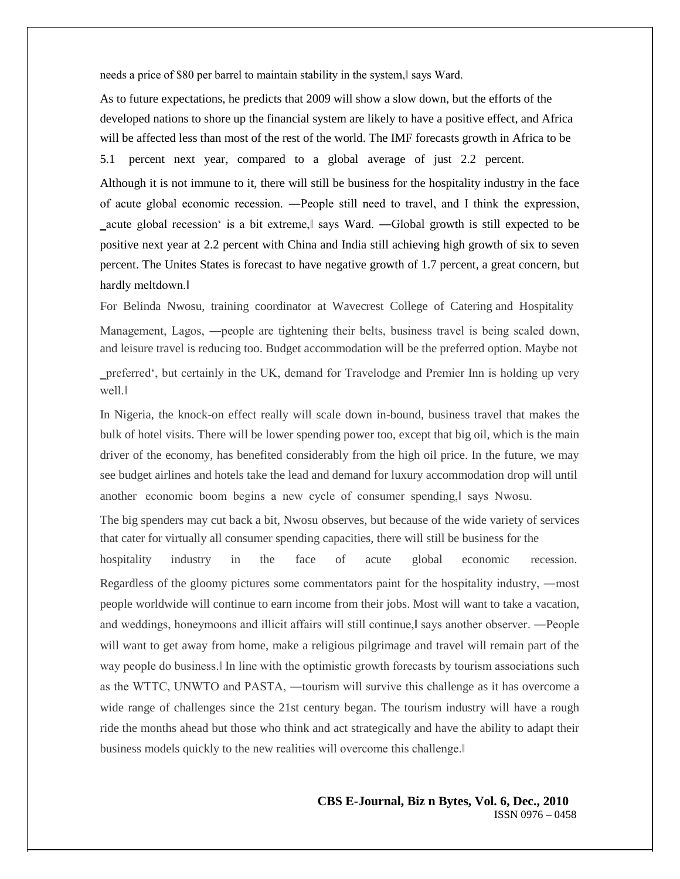needs a price of \$80 per barrel to maintain stability in the system, says Ward.

As to future expectations, he predicts that 2009 will show a slow down, but the efforts of the developed nations to shore up the financial system are likely to have a positive effect, and Africa will be affected less than most of the rest of the world. The IMF forecasts growth in Africa to be 5.1 percent next year, compared to a global average of just 2.2 percent.

Although it is not immune to it, there will still be business for the hospitality industry in the face of acute global economic recession. ―People still need to travel, and I think the expression, ‗acute global recession' is a bit extreme,‖ says Ward. ―Global growth is still expected to be positive next year at 2.2 percent with China and India still achieving high growth of six to seven percent. The Unites States is forecast to have negative growth of 1.7 percent, a great concern, but hardly meltdown.‖

For Belinda Nwosu, training coordinator at Wavecrest College of Catering and Hospitality Management, Lagos, ―people are tightening their belts, business travel is being scaled down, and leisure travel is reducing too. Budget accommodation will be the preferred option. Maybe not

‗preferred', but certainly in the UK, demand for Travelodge and Premier Inn is holding up very well.‖

In Nigeria, the knock-on effect really will scale down in-bound, business travel that makes the bulk of hotel visits. There will be lower spending power too, except that big oil, which is the main driver of the economy, has benefited considerably from the high oil price. In the future, we may see budget airlines and hotels take the lead and demand for luxury accommodation drop will until another economic boom begins a new cycle of consumer spending, says Nwosu.

The big spenders may cut back a bit, Nwosu observes, but because of the wide variety of services that cater for virtually all consumer spending capacities, there will still be business for the

hospitality industry in the face of acute global economic recession. Regardless of the gloomy pictures some commentators paint for the hospitality industry, ―most people worldwide will continue to earn income from their jobs. Most will want to take a vacation, and weddings, honeymoons and illicit affairs will still continue, says another observer. —People will want to get away from home, make a religious pilgrimage and travel will remain part of the way people do business.‖ In line with the optimistic growth forecasts by tourism associations such as the WTTC, UNWTO and PASTA, ―tourism will survive this challenge as it has overcome a wide range of challenges since the 21st century began. The tourism industry will have a rough ride the months ahead but those who think and act strategically and have the ability to adapt their business models quickly to the new realities will overcome this challenge.‖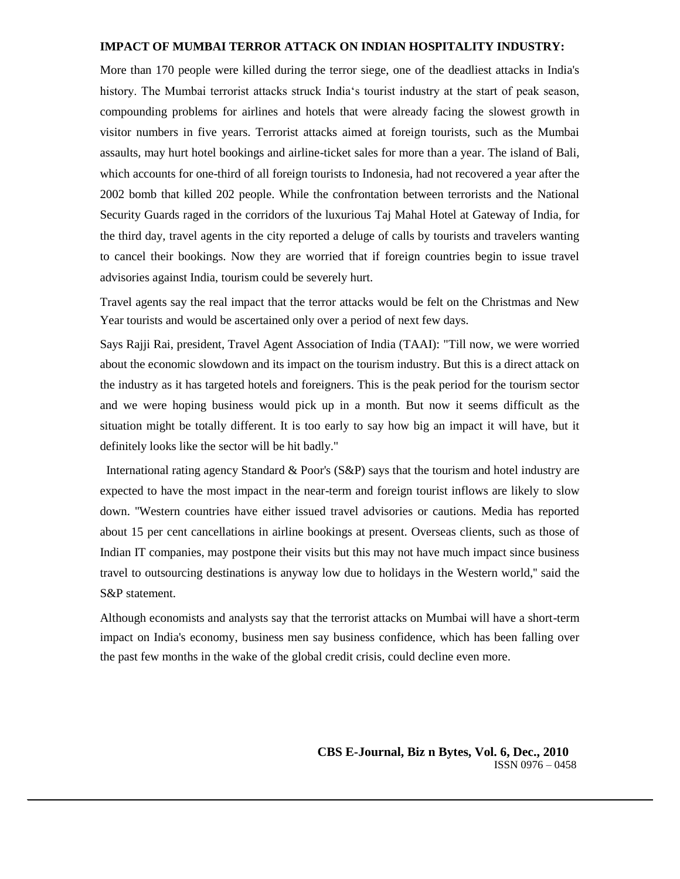#### **IMPACT OF MUMBAI TERROR ATTACK ON INDIAN HOSPITALITY INDUSTRY:**

More than 170 people were killed during the terror siege, one of the deadliest attacks in India's history. The Mumbai terrorist attacks struck India's tourist industry at the start of peak season, compounding problems for airlines and hotels that were already facing the slowest growth in visitor numbers in five years. Terrorist attacks aimed at foreign tourists, such as the Mumbai assaults, may hurt hotel bookings and airline-ticket sales for more than a year. The island of Bali, which accounts for one-third of all foreign tourists to Indonesia, had not recovered a year after the 2002 bomb that killed 202 people. While the confrontation between terrorists and the National Security Guards raged in the corridors of the luxurious Taj Mahal Hotel at Gateway of India, for the third day, travel agents in the city reported a deluge of calls by tourists and travelers wanting to cancel their bookings. Now they are worried that if foreign countries begin to issue travel advisories against India, tourism could be severely hurt.

Travel agents say the real impact that the terror attacks would be felt on the Christmas and New Year tourists and would be ascertained only over a period of next few days.

Says Rajji Rai, president, Travel Agent Association of India (TAAI): "Till now, we were worried about the economic slowdown and its impact on the tourism industry. But this is a direct attack on the industry as it has targeted hotels and foreigners. This is the peak period for the tourism sector and we were hoping business would pick up in a month. But now it seems difficult as the situation might be totally different. It is too early to say how big an impact it will have, but it definitely looks like the sector will be hit badly."

International rating agency Standard & Poor's (S&P) says that the tourism and hotel industry are expected to have the most impact in the near-term and foreign tourist inflows are likely to slow down. ''Western countries have either issued travel advisories or cautions. Media has reported about 15 per cent cancellations in airline bookings at present. Overseas clients, such as those of Indian IT companies, may postpone their visits but this may not have much impact since business travel to outsourcing destinations is anyway low due to holidays in the Western world,'' said the S&P statement.

Although economists and analysts say that the terrorist attacks on Mumbai will have a short-term impact on India's economy, business men say business confidence, which has been falling over the past few months in the wake of the global credit crisis, could decline even more.